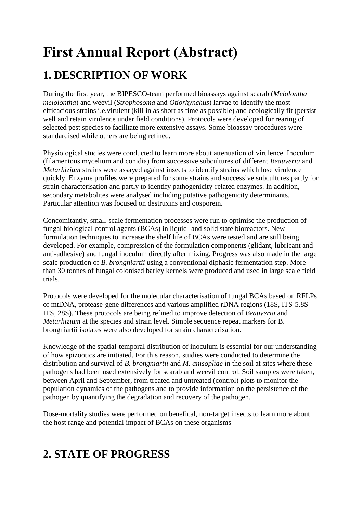## **First Annual Report (Abstract)**

## **1. DESCRIPTION OF WORK**

During the first year, the BIPESCO-team performed bioassays against scarab (*Melolontha melolontha*) and weevil (*Strophosoma* and *Otiorhynchus*) larvae to identify the most efficacious strains i.e.virulent (kill in as short as time as possible) and ecologically fit (persist well and retain virulence under field conditions). Protocols were developed for rearing of selected pest species to facilitate more extensive assays. Some bioassay procedures were standardised while others are being refined.

Physiological studies were conducted to learn more about attenuation of virulence. Inoculum (filamentous mycelium and conidia) from successive subcultures of different *Beauveria* and *Metarhizium* strains were assayed against insects to identify strains which lose virulence quickly. Enzyme profiles were prepared for some strains and successive subcultures partly for strain characterisation and partly to identify pathogenicity-related enzymes. In addition, secondary metabolites were analysed including putative pathogenicity determinants. Particular attention was focused on destruxins and oosporein.

Concomitantly, small-scale fermentation processes were run to optimise the production of fungal biological control agents (BCAs) in liquid- and solid state bioreactors. New formulation techniques to increase the shelf life of BCAs were tested and are still being developed. For example, compression of the formulation components (glidant, lubricant and anti-adhesive) and fungal inoculum directly after mixing. Progress was also made in the large scale production of *B. brongniartii* using a conventional diphasic fermentation step. More than 30 tonnes of fungal colonised barley kernels were produced and used in large scale field trials.

Protocols were developed for the molecular characterisation of fungal BCAs based on RFLPs of mtDNA, protease-gene differences and various amplified rDNA regions (18S, ITS-5.8S-ITS, 28S). These protocols are being refined to improve detection of *Beauveria* and *Metarhizium* at the species and strain level. Simple sequence repeat markers for B. brongniartii isolates were also developed for strain characterisation.

Knowledge of the spatial-temporal distribution of inoculum is essential for our understanding of how epizootics are initiated. For this reason, studies were conducted to determine the distribution and survival of *B. brongniartii* and *M. anisopliae* in the soil at sites where these pathogens had been used extensively for scarab and weevil control. Soil samples were taken, between April and September, from treated and untreated (control) plots to monitor the population dynamics of the pathogens and to provide information on the persistence of the pathogen by quantifying the degradation and recovery of the pathogen.

Dose-mortality studies were performed on benefical, non-target insects to learn more about the host range and potential impact of BCAs on these organisms

## **2. STATE OF PROGRESS**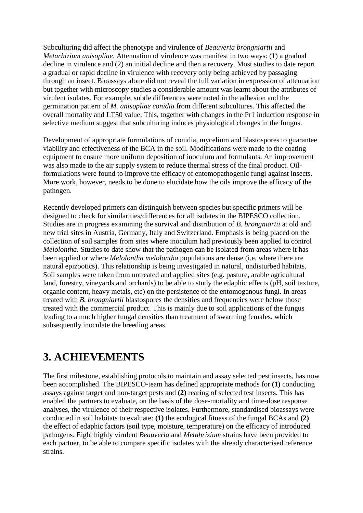Subculturing did affect the phenotype and virulence of *Beauveria brongniartii* and *Metarhizium anisopliae*. Attenuation of virulence was manifest in two ways: (1) a gradual decline in virulence and (2) an initial decline and then a recovery. Most studies to date report a gradual or rapid decline in virulence with recovery only being achieved by passaging through an insect. Bioassays alone did not reveal the full variation in expression of attenuation but together with microscopy studies a considerable amount was learnt about the attributes of virulent isolates. For example, subtle differences were noted in the adhesion and the germination pattern of *M. anisopliae conidia* from different subcultures. This affected the overall mortality and LT50 value. This, together with changes in the Pr1 induction response in selective medium suggest that subculturing induces physiological changes in the fungus.

Development of appropriate formulations of conidia, mycelium and blastospores to guarantee viability and effectiveness of the BCA in the soil. Modifications were made to the coating equipment to ensure more uniform deposition of inoculum and formulants. An improvement was also made to the air supply system to reduce thermal stress of the final product. Oilformulations were found to improve the efficacy of entomopathogenic fungi against insects. More work, however, needs to be done to elucidate how the oils improve the efficacy of the pathogen.

Recently developed primers can distinguish between species but specific primers will be designed to check for similarities/differences for all isolates in the BIPESCO collection. Studies are in progress examining the survival and distribution of *B. brongniartii* at old and new trial sites in Austria, Germany, Italy and Switzerland. Emphasis is being placed on the collection of soil samples from sites where inoculum had previously been applied to control *Melolontha*. Studies to date show that the pathogen can be isolated from areas where it has been applied or where *Melolontha melolontha* populations are dense (i.e. where there are natural epizootics). This relationship is being investigated in natural, undisturbed habitats. Soil samples were taken from untreated and applied sites (e.g. pasture, arable agricultural land, forestry, vineyards and orchards) to be able to study the edaphic effects (pH, soil texture, organic content, heavy metals, etc) on the persistence of the entomogenous fungi. In areas treated with *B. brongniartii* blastospores the densities and frequencies were below those treated with the commercial product. This is mainly due to soil applications of the fungus leading to a much higher fungal densities than treatment of swarming females, which subsequently inoculate the breeding areas.

## **3. ACHIEVEMENTS**

The first milestone, establishing protocols to maintain and assay selected pest insects, has now been accomplished. The BIPESCO-team has defined appropriate methods for **(1)** conducting assays against target and non-target pests and **(2)** rearing of selected test insects. This has enabled the partners to evaluate, on the basis of the dose-mortality and time-dose response analyses, the virulence of their respective isolates. Furthermore, standardised bioassays were conducted in soil habitats to evaluate: **(1)** the ecological fitness of the fungal BCAs and **(2)** the effect of edaphic factors (soil type, moisture, temperature) on the efficacy of introduced pathogens. Eight highly virulent *Beauveria* and *Metahrizium* strains have been provided to each partner, to be able to compare specific isolates with the already characterised reference strains.